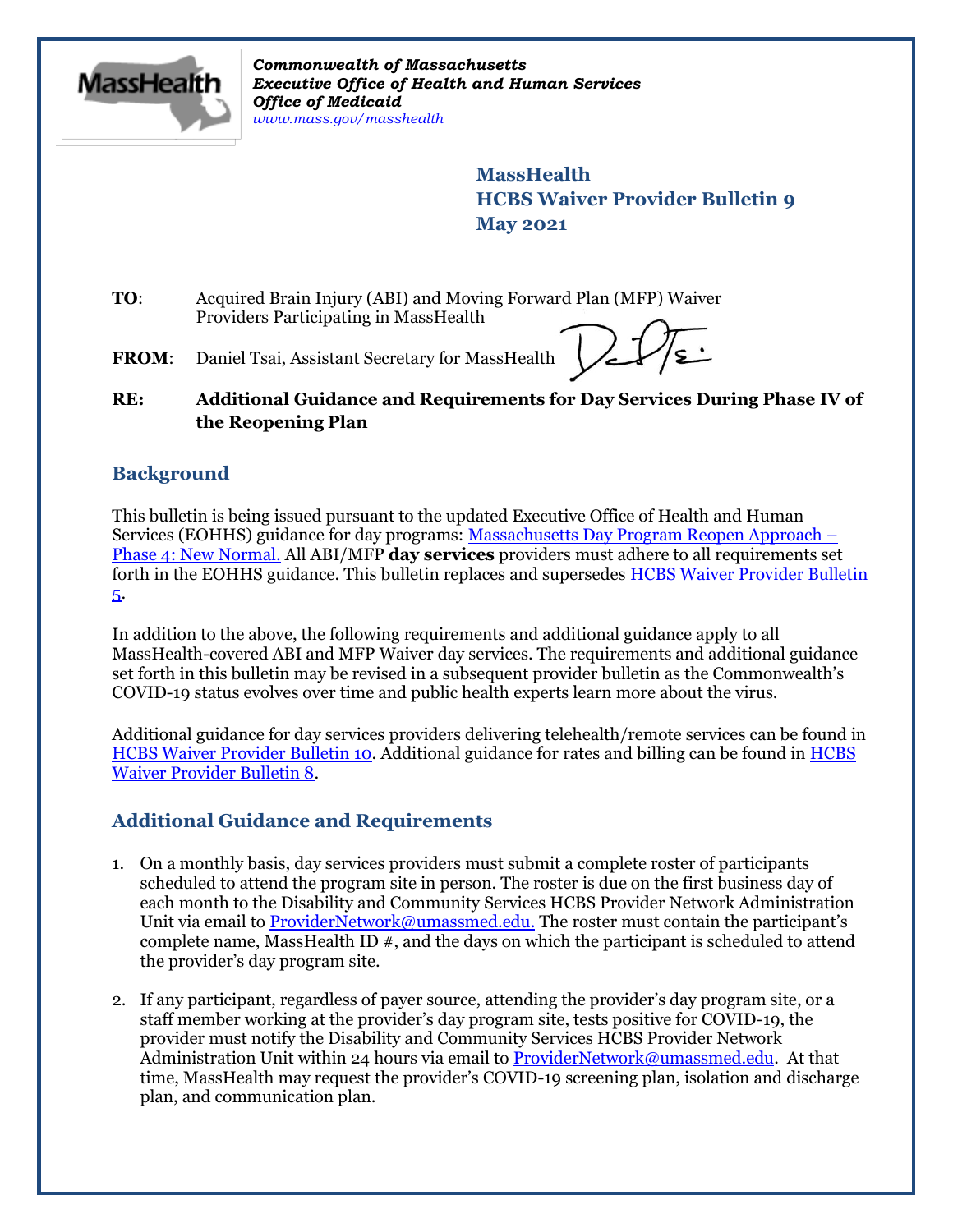

*Commonwealth of Massachusetts Executive Office of Health and Human Services Office of Medicaid [www.mass.gov/masshealth](http://www.mass.gov/masshealth)*

> **MassHealth HCBS Waiver Provider Bulletin 9 May 2021**

- **TO**: Acquired Brain Injury (ABI) and Moving Forward Plan (MFP) Waiver Providers Participating in MassHealth
- FROM: Daniel Tsai, Assistant Secretary for MassHealth

### **RE: Additional Guidance and Requirements for Day Services During Phase IV of the Reopening Plan**

## **Background**

This bulletin is being issued pursuant to the updated Executive Office of Health and Human Services (EOHHS) guidance for day programs: Massachusetts Day Program Reopen Approach – Phase 4: New Normal. All ABI/MFP **day services** providers must adhere to all requirements set forth in the EOHHS guidance. This bulletin replaces and supersedes [HCBS Waiver Provider Bulletin](https://www.mass.gov/lists/masshealth-provider-bulletins-by-provider-type-d-h#hcbs-waiver-)  [5.](https://www.mass.gov/lists/masshealth-provider-bulletins-by-provider-type-d-h#hcbs-waiver-)

In addition to the above, the following requirements and additional guidance apply to all MassHealth-covered ABI and MFP Waiver day services. The requirements and additional guidance set forth in this bulletin may be revised in a subsequent provider bulletin as the Commonwealth's COVID-19 status evolves over time and public health experts learn more about the virus.

Additional guidance for day services providers delivering telehealth/remote services can be found in [HCBS Waiver Provider Bulletin 10.](https://www.mass.gov/lists/masshealth-provider-bulletins-by-provider-type-d-h#hcbs-waiver-) Additional guidance for rates and billing can be found in [HCBS](https://www.mass.gov/lists/masshealth-provider-bulletins-by-provider-type-d-h#hcbs-waiver-)  [Waiver Provider Bulletin 8.](https://www.mass.gov/lists/masshealth-provider-bulletins-by-provider-type-d-h#hcbs-waiver-)

# **Additional Guidance and Requirements**

- 1. On a monthly basis, day services providers must submit a complete roster of participants scheduled to attend the program site in person. The roster is due on the first business day of each month to the Disability and Community Services HCBS Provider Network Administration Unit via email to **ProviderNetwork@umassmed.edu.** The roster must contain the participant's complete name, MassHealth ID #, and the days on which the participant is scheduled to attend the provider's day program site.
- 2. If any participant, regardless of payer source, attending the provider's day program site, or a staff member working at the provider's day program site, tests positive for COVID-19, the provider must notify the Disability and Community Services HCBS Provider Network Administration Unit within 24 hours via email to [ProviderNetwork@umassmed.edu.](mailto:ProviderNetwork@umassmed.edu) At that time, MassHealth may request the provider's COVID-19 screening plan, isolation and discharge plan, and communication plan.